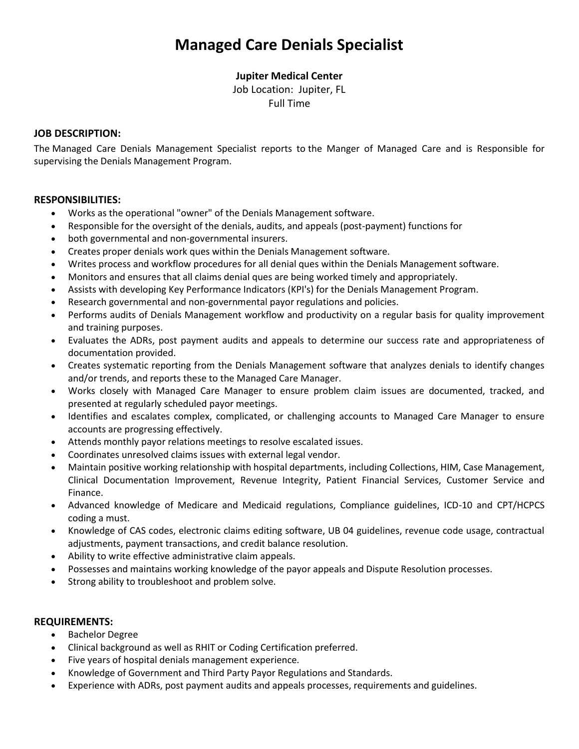# **Managed Care Denials Specialist**

## **Jupiter Medical Center**

Job Location: Jupiter, FL

Full Time

#### **JOB DESCRIPTION:**

The Managed Care Denials Management Specialist reports to the Manger of Managed Care and is Responsible for supervising the Denials Management Program.

#### **RESPONSIBILITIES:**

- Works as the operational "owner" of the Denials Management software.
- Responsible for the oversight of the denials, audits, and appeals (post-payment) functions for
- both governmental and non-governmental insurers.
- Creates proper denials work ques within the Denials Management software.
- Writes process and workflow procedures for all denial ques within the Denials Management software.
- Monitors and ensures that all claims denial ques are being worked timely and appropriately.
- Assists with developing Key Performance Indicators (KPI's) for the Denials Management Program.
- Research governmental and non-governmental payor regulations and policies.
- Performs audits of Denials Management workflow and productivity on a regular basis for quality improvement and training purposes.
- Evaluates the ADRs, post payment audits and appeals to determine our success rate and appropriateness of documentation provided.
- Creates systematic reporting from the Denials Management software that analyzes denials to identify changes and/or trends, and reports these to the Managed Care Manager.
- Works closely with Managed Care Manager to ensure problem claim issues are documented, tracked, and presented at regularly scheduled payor meetings.
- Identifies and escalates complex, complicated, or challenging accounts to Managed Care Manager to ensure accounts are progressing effectively.
- Attends monthly payor relations meetings to resolve escalated issues.
- Coordinates unresolved claims issues with external legal vendor.
- Maintain positive working relationship with hospital departments, including Collections, HIM, Case Management, Clinical Documentation Improvement, Revenue Integrity, Patient Financial Services, Customer Service and Finance.
- Advanced knowledge of Medicare and Medicaid regulations, Compliance guidelines, ICD-10 and CPT/HCPCS coding a must.
- Knowledge of CAS codes, electronic claims editing software, UB 04 guidelines, revenue code usage, contractual adjustments, payment transactions, and credit balance resolution.
- Ability to write effective administrative claim appeals.
- Possesses and maintains working knowledge of the payor appeals and Dispute Resolution processes.
- Strong ability to troubleshoot and problem solve.

#### **REQUIREMENTS:**

- Bachelor Degree
- Clinical background as well as RHIT or Coding Certification preferred.
- Five years of hospital denials management experience.
- Knowledge of Government and Third Party Payor Regulations and Standards.
- Experience with ADRs, post payment audits and appeals processes, requirements and guidelines.